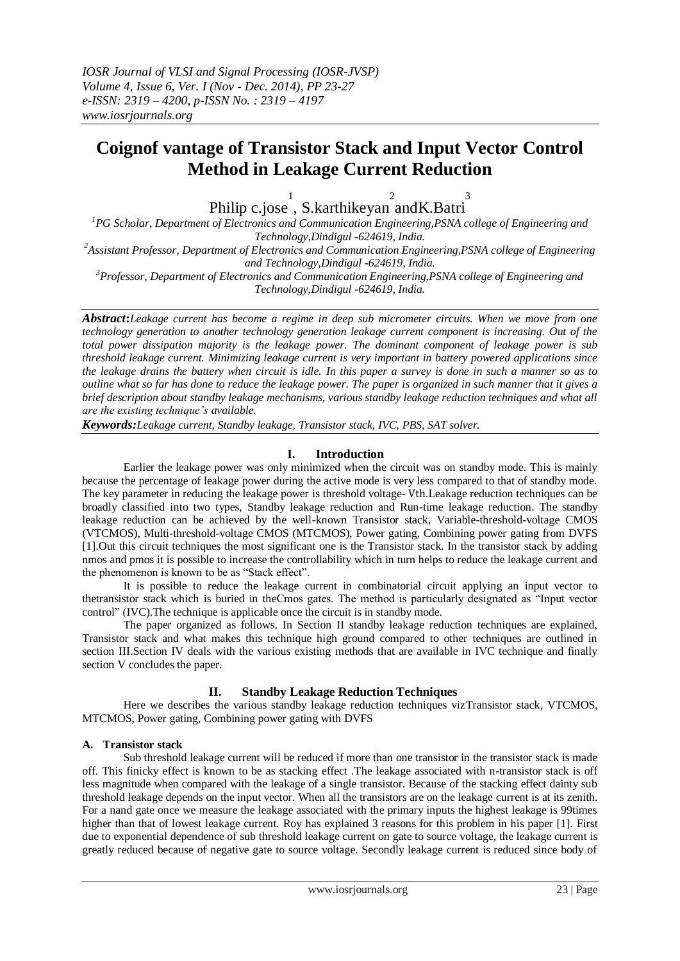# **Coignof vantage of Transistor Stack and Input Vector Control Method in Leakage Current Reduction**

Philip c.jose 1 , S.karthikeyan 2 andK.Batri 3

*<sup>1</sup>PG Scholar, Department of Electronics and Communication Engineering,PSNA college of Engineering and Technology,Dindigul -624619, India.*

*<sup>2</sup>Assistant Professor, Department of Electronics and Communication Engineering,PSNA college of Engineering and Technology,Dindigul -624619, India.*

*<sup>3</sup>Professor, Department of Electronics and Communication Engineering,PSNA college of Engineering and Technology,Dindigul -624619, India.*

*Abstract***:***Leakage current has become a regime in deep sub micrometer circuits. When we move from one technology generation to another technology generation leakage current component is increasing. Out of the total power dissipation majority is the leakage power. The dominant component of leakage power is sub threshold leakage current. Minimizing leakage current is very important in battery powered applications since the leakage drains the battery when circuit is idle. In this paper a survey is done in such a manner so as to outline what so far has done to reduce the leakage power. The paper is organized in such manner that it gives a brief description about standby leakage mechanisms, various standby leakage reduction techniques and what all are the existing technique's available.*

*Keywords:Leakage current, Standby leakage, Transistor stack, IVC, PBS, SAT solver.*

# **I. Introduction**

Earlier the leakage power was only minimized when the circuit was on standby mode. This is mainly because the percentage of leakage power during the active mode is very less compared to that of standby mode. The key parameter in reducing the leakage power is threshold voltage- Vth.Leakage reduction techniques can be broadly classified into two types, Standby leakage reduction and Run-time leakage reduction. The standby leakage reduction can be achieved by the well-known Transistor stack, Variable-threshold-voltage CMOS (VTCMOS), Multi-threshold-voltage CMOS (MTCMOS), Power gating, Combining power gating from DVFS [1].Out this circuit techniques the most significant one is the Transistor stack. In the transistor stack by adding nmos and pmos it is possible to increase the controllability which in turn helps to reduce the leakage current and the phenomenon is known to be as "Stack effect".

It is possible to reduce the leakage current in combinatorial circuit applying an input vector to thetransistor stack which is buried in theCmos gates. The method is particularly designated as "Input vector control" (IVC).The technique is applicable once the circuit is in standby mode.

The paper organized as follows. In Section II standby leakage reduction techniques are explained, Transistor stack and what makes this technique high ground compared to other techniques are outlined in section III.Section IV deals with the various existing methods that are available in IVC technique and finally section V concludes the paper.

# **II. Standby Leakage Reduction Techniques**

Here we describes the various standby leakage reduction techniques vizTransistor stack, VTCMOS, MTCMOS, Power gating, Combining power gating with DVFS

## **A. Transistor stack**

Sub threshold leakage current will be reduced if more than one transistor in the transistor stack is made off. This finicky effect is known to be as stacking effect .The leakage associated with n-transistor stack is off less magnitude when compared with the leakage of a single transistor. Because of the stacking effect dainty sub threshold leakage depends on the input vector. When all the transistors are on the leakage current is at its zenith. For a nand gate once we measure the leakage associated with the primary inputs the highest leakage is 99times higher than that of lowest leakage current. Roy has explained 3 reasons for this problem in his paper [1]. First due to exponential dependence of sub threshold leakage current on gate to source voltage, the leakage current is greatly reduced because of negative gate to source voltage. Secondly leakage current is reduced since body of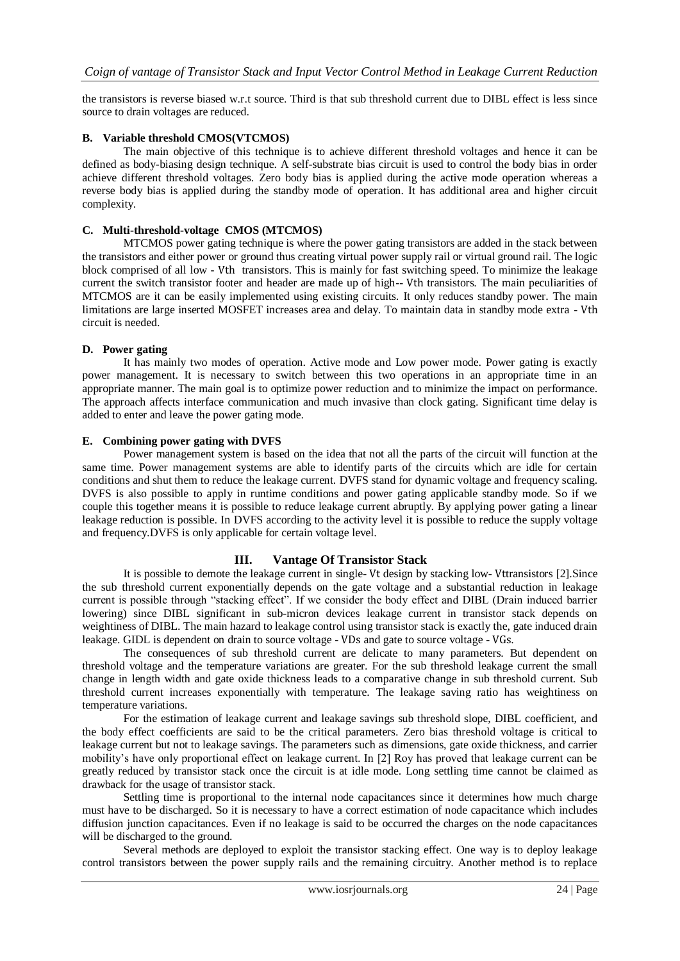the transistors is reverse biased w.r.t source. Third is that sub threshold current due to DIBL effect is less since source to drain voltages are reduced.

#### **B. Variable threshold CMOS(VTCMOS)**

The main objective of this technique is to achieve different threshold voltages and hence it can be defined as body-biasing design technique. A self-substrate bias circuit is used to control the body bias in order achieve different threshold voltages. Zero body bias is applied during the active mode operation whereas a reverse body bias is applied during the standby mode of operation. It has additional area and higher circuit complexity.

#### **C. Multi-threshold-voltage CMOS (MTCMOS)**

MTCMOS power gating technique is where the power gating transistors are added in the stack between the transistors and either power or ground thus creating virtual power supply rail or virtual ground rail. The logic block comprised of all low - Vth transistors. This is mainly for fast switching speed. To minimize the leakage current the switch transistor footer and header are made up of high-- Vth transistors. The main peculiarities of MTCMOS are it can be easily implemented using existing circuits. It only reduces standby power. The main limitations are large inserted MOSFET increases area and delay. To maintain data in standby mode extra - Vth circuit is needed.

#### **D. Power gating**

It has mainly two modes of operation. Active mode and Low power mode. Power gating is exactly power management. It is necessary to switch between this two operations in an appropriate time in an appropriate manner. The main goal is to optimize power reduction and to minimize the impact on performance. The approach affects interface communication and much invasive than clock gating. Significant time delay is added to enter and leave the power gating mode.

#### **E. Combining power gating with DVFS**

Power management system is based on the idea that not all the parts of the circuit will function at the same time. Power management systems are able to identify parts of the circuits which are idle for certain conditions and shut them to reduce the leakage current. DVFS stand for dynamic voltage and frequency scaling. DVFS is also possible to apply in runtime conditions and power gating applicable standby mode. So if we couple this together means it is possible to reduce leakage current abruptly. By applying power gating a linear leakage reduction is possible. In DVFS according to the activity level it is possible to reduce the supply voltage and frequency.DVFS is only applicable for certain voltage level.

## **III. Vantage Of Transistor Stack**

It is possible to demote the leakage current in single- Vt design by stacking low- Vttransistors [2].Since the sub threshold current exponentially depends on the gate voltage and a substantial reduction in leakage current is possible through "stacking effect". If we consider the body effect and DIBL (Drain induced barrier lowering) since DIBL significant in sub-micron devices leakage current in transistor stack depends on weightiness of DIBL. The main hazard to leakage control using transistor stack is exactly the, gate induced drain leakage. GIDL is dependent on drain to source voltage - VDs and gate to source voltage - VGs.

The consequences of sub threshold current are delicate to many parameters. But dependent on threshold voltage and the temperature variations are greater. For the sub threshold leakage current the small change in length width and gate oxide thickness leads to a comparative change in sub threshold current. Sub threshold current increases exponentially with temperature. The leakage saving ratio has weightiness on temperature variations.

For the estimation of leakage current and leakage savings sub threshold slope, DIBL coefficient, and the body effect coefficients are said to be the critical parameters. Zero bias threshold voltage is critical to leakage current but not to leakage savings. The parameters such as dimensions, gate oxide thickness, and carrier mobility"s have only proportional effect on leakage current. In [2] Roy has proved that leakage current can be greatly reduced by transistor stack once the circuit is at idle mode. Long settling time cannot be claimed as drawback for the usage of transistor stack.

Settling time is proportional to the internal node capacitances since it determines how much charge must have to be discharged. So it is necessary to have a correct estimation of node capacitance which includes diffusion junction capacitances. Even if no leakage is said to be occurred the charges on the node capacitances will be discharged to the ground.

Several methods are deployed to exploit the transistor stacking effect. One way is to deploy leakage control transistors between the power supply rails and the remaining circuitry. Another method is to replace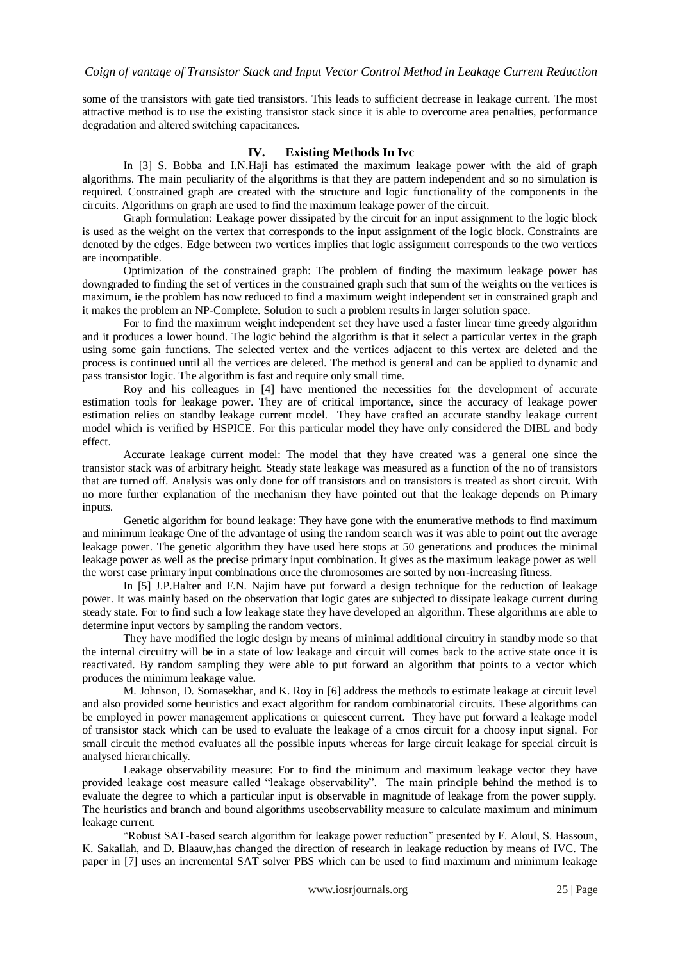some of the transistors with gate tied transistors. This leads to sufficient decrease in leakage current. The most attractive method is to use the existing transistor stack since it is able to overcome area penalties, performance degradation and altered switching capacitances.

# **IV. Existing Methods In Ivc**

In [3] S. Bobba and I.N.Haji has estimated the maximum leakage power with the aid of graph algorithms. The main peculiarity of the algorithms is that they are pattern independent and so no simulation is required. Constrained graph are created with the structure and logic functionality of the components in the circuits. Algorithms on graph are used to find the maximum leakage power of the circuit.

Graph formulation: Leakage power dissipated by the circuit for an input assignment to the logic block is used as the weight on the vertex that corresponds to the input assignment of the logic block. Constraints are denoted by the edges. Edge between two vertices implies that logic assignment corresponds to the two vertices are incompatible.

Optimization of the constrained graph: The problem of finding the maximum leakage power has downgraded to finding the set of vertices in the constrained graph such that sum of the weights on the vertices is maximum, ie the problem has now reduced to find a maximum weight independent set in constrained graph and it makes the problem an NP-Complete. Solution to such a problem results in larger solution space.

For to find the maximum weight independent set they have used a faster linear time greedy algorithm and it produces a lower bound. The logic behind the algorithm is that it select a particular vertex in the graph using some gain functions. The selected vertex and the vertices adjacent to this vertex are deleted and the process is continued until all the vertices are deleted. The method is general and can be applied to dynamic and pass transistor logic. The algorithm is fast and require only small time.

Roy and his colleagues in [4] have mentioned the necessities for the development of accurate estimation tools for leakage power. They are of critical importance, since the accuracy of leakage power estimation relies on standby leakage current model. They have crafted an accurate standby leakage current model which is verified by HSPICE. For this particular model they have only considered the DIBL and body effect.

Accurate leakage current model: The model that they have created was a general one since the transistor stack was of arbitrary height. Steady state leakage was measured as a function of the no of transistors that are turned off. Analysis was only done for off transistors and on transistors is treated as short circuit. With no more further explanation of the mechanism they have pointed out that the leakage depends on Primary inputs.

Genetic algorithm for bound leakage: They have gone with the enumerative methods to find maximum and minimum leakage One of the advantage of using the random search was it was able to point out the average leakage power. The genetic algorithm they have used here stops at 50 generations and produces the minimal leakage power as well as the precise primary input combination. It gives as the maximum leakage power as well the worst case primary input combinations once the chromosomes are sorted by non-increasing fitness.

In [5] J.P.Halter and F.N. Najim have put forward a design technique for the reduction of leakage power. It was mainly based on the observation that logic gates are subjected to dissipate leakage current during steady state. For to find such a low leakage state they have developed an algorithm. These algorithms are able to determine input vectors by sampling the random vectors.

They have modified the logic design by means of minimal additional circuitry in standby mode so that the internal circuitry will be in a state of low leakage and circuit will comes back to the active state once it is reactivated. By random sampling they were able to put forward an algorithm that points to a vector which produces the minimum leakage value.

M. Johnson, D. Somasekhar, and K. Roy in [6] address the methods to estimate leakage at circuit level and also provided some heuristics and exact algorithm for random combinatorial circuits. These algorithms can be employed in power management applications or quiescent current. They have put forward a leakage model of transistor stack which can be used to evaluate the leakage of a cmos circuit for a choosy input signal. For small circuit the method evaluates all the possible inputs whereas for large circuit leakage for special circuit is analysed hierarchically.

Leakage observability measure: For to find the minimum and maximum leakage vector they have provided leakage cost measure called "leakage observability". The main principle behind the method is to evaluate the degree to which a particular input is observable in magnitude of leakage from the power supply. The heuristics and branch and bound algorithms useobservability measure to calculate maximum and minimum leakage current.

"Robust SAT-based search algorithm for leakage power reduction" presented by F. Aloul, S. Hassoun, K. Sakallah, and D. Blaauw,has changed the direction of research in leakage reduction by means of IVC. The paper in [7] uses an incremental SAT solver PBS which can be used to find maximum and minimum leakage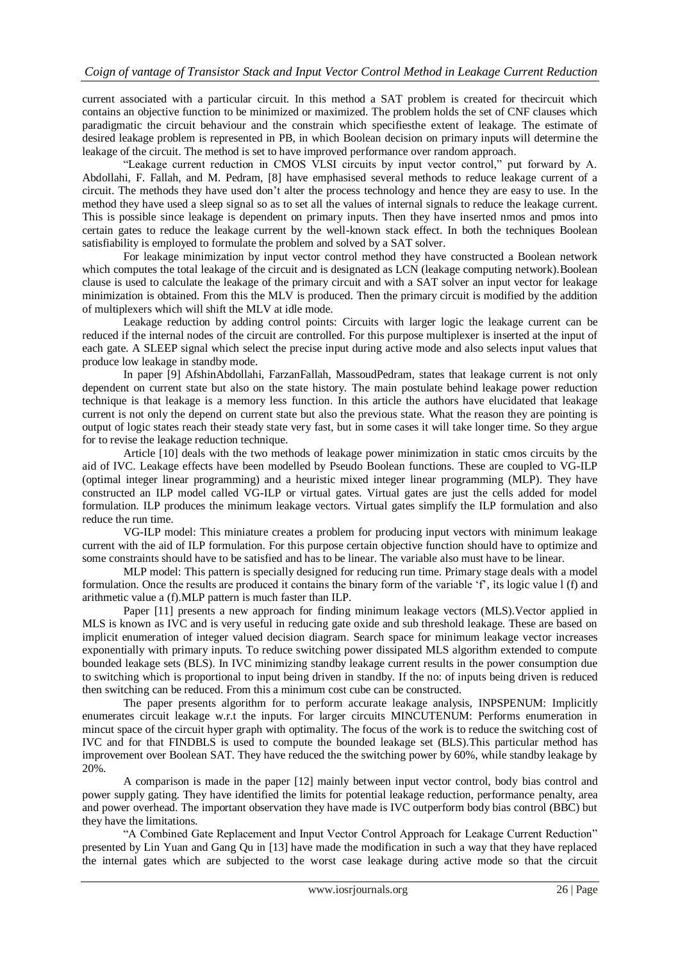current associated with a particular circuit. In this method a SAT problem is created for thecircuit which contains an objective function to be minimized or maximized. The problem holds the set of CNF clauses which paradigmatic the circuit behaviour and the constrain which specifiesthe extent of leakage. The estimate of desired leakage problem is represented in PB, in which Boolean decision on primary inputs will determine the leakage of the circuit. The method is set to have improved performance over random approach.

"Leakage current reduction in CMOS VLSI circuits by input vector control," put forward by A. Abdollahi, F. Fallah, and M. Pedram, [8] have emphasised several methods to reduce leakage current of a circuit. The methods they have used don"t alter the process technology and hence they are easy to use. In the method they have used a sleep signal so as to set all the values of internal signals to reduce the leakage current. This is possible since leakage is dependent on primary inputs. Then they have inserted nmos and pmos into certain gates to reduce the leakage current by the well-known stack effect. In both the techniques Boolean satisfiability is employed to formulate the problem and solved by a SAT solver.

For leakage minimization by input vector control method they have constructed a Boolean network which computes the total leakage of the circuit and is designated as LCN (leakage computing network). Boolean clause is used to calculate the leakage of the primary circuit and with a SAT solver an input vector for leakage minimization is obtained. From this the MLV is produced. Then the primary circuit is modified by the addition of multiplexers which will shift the MLV at idle mode.

Leakage reduction by adding control points: Circuits with larger logic the leakage current can be reduced if the internal nodes of the circuit are controlled. For this purpose multiplexer is inserted at the input of each gate. A SLEEP signal which select the precise input during active mode and also selects input values that produce low leakage in standby mode.

In paper [9] AfshinAbdollahi, FarzanFallah, MassoudPedram, states that leakage current is not only dependent on current state but also on the state history. The main postulate behind leakage power reduction technique is that leakage is a memory less function. In this article the authors have elucidated that leakage current is not only the depend on current state but also the previous state. What the reason they are pointing is output of logic states reach their steady state very fast, but in some cases it will take longer time. So they argue for to revise the leakage reduction technique.

Article [10] deals with the two methods of leakage power minimization in static cmos circuits by the aid of IVC. Leakage effects have been modelled by Pseudo Boolean functions. These are coupled to VG-ILP (optimal integer linear programming) and a heuristic mixed integer linear programming (MLP). They have constructed an ILP model called VG-ILP or virtual gates. Virtual gates are just the cells added for model formulation. ILP produces the minimum leakage vectors. Virtual gates simplify the ILP formulation and also reduce the run time.

VG-ILP model: This miniature creates a problem for producing input vectors with minimum leakage current with the aid of ILP formulation. For this purpose certain objective function should have to optimize and some constraints should have to be satisfied and has to be linear. The variable also must have to be linear.

MLP model: This pattern is specially designed for reducing run time. Primary stage deals with a model formulation. Once the results are produced it contains the binary form of the variable  $f^*$ , its logic value 1 (f) and arithmetic value a (f).MLP pattern is much faster than ILP.

Paper [11] presents a new approach for finding minimum leakage vectors (MLS).Vector applied in MLS is known as IVC and is very useful in reducing gate oxide and sub threshold leakage. These are based on implicit enumeration of integer valued decision diagram. Search space for minimum leakage vector increases exponentially with primary inputs. To reduce switching power dissipated MLS algorithm extended to compute bounded leakage sets (BLS). In IVC minimizing standby leakage current results in the power consumption due to switching which is proportional to input being driven in standby. If the no: of inputs being driven is reduced then switching can be reduced. From this a minimum cost cube can be constructed.

The paper presents algorithm for to perform accurate leakage analysis, INPSPENUM: Implicitly enumerates circuit leakage w.r.t the inputs. For larger circuits MINCUTENUM: Performs enumeration in mincut space of the circuit hyper graph with optimality. The focus of the work is to reduce the switching cost of IVC and for that FINDBLS is used to compute the bounded leakage set (BLS).This particular method has improvement over Boolean SAT. They have reduced the the switching power by 60%, while standby leakage by 20%.

A comparison is made in the paper [12] mainly between input vector control, body bias control and power supply gating. They have identified the limits for potential leakage reduction, performance penalty, area and power overhead. The important observation they have made is IVC outperform body bias control (BBC) but they have the limitations.

"A Combined Gate Replacement and Input Vector Control Approach for Leakage Current Reduction" presented by Lin Yuan and Gang Qu in [13] have made the modification in such a way that they have replaced the internal gates which are subjected to the worst case leakage during active mode so that the circuit